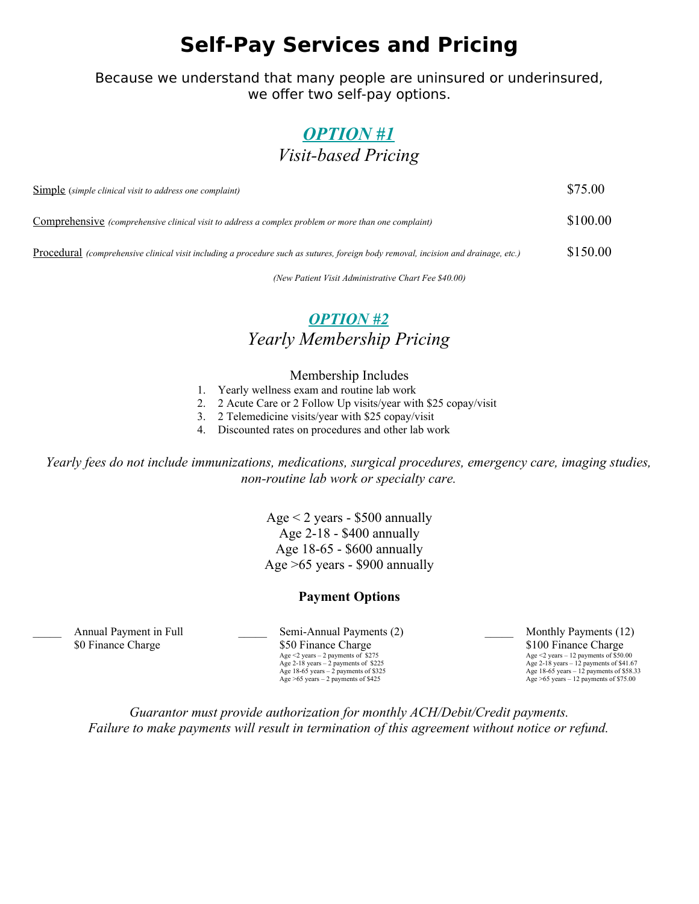# **Self-Pay Services and Pricing**

Because we understand that many people are uninsured or underinsured, we offer two self-pay options.

### *OPTION #1 Visit-based Pricing*

| Simple (simple clinical visit to address one complaint)                                                                            | \$75.00  |
|------------------------------------------------------------------------------------------------------------------------------------|----------|
| <b>Comprehensive</b> (comprehensive clinical visit to address a complex problem or more than one complaint)                        | \$100.00 |
| Procedural (comprehensive clinical visit including a procedure such as sutures, foreign body removal, incision and drainage, etc.) | \$150.00 |

*(New Patient Visit Administrative Chart Fee \$40.00)*

### *OPTION #2 Yearly Membership Pricing*

### Membership Includes

- 1. Yearly wellness exam and routine lab work
- 2. 2 Acute Care or 2 Follow Up visits/year with \$25 copay/visit
- 3. 2 Telemedicine visits/year with \$25 copay/visit
- 4. Discounted rates on procedures and other lab work

*Yearly fees do not include immunizations, medications, surgical procedures, emergency care, imaging studies, non-routine lab work or specialty care.*

> Age  $<$  2 years - \$500 annually Age 2-18 - \$400 annually Age 18-65 - \$600 annually Age >65 years - \$900 annually

#### **Payment Options**

Annual Payment in Full Semi-Annual Payments (2) Monthly Payments (12) \$0 Finance Charge \$100 Finance Charge \$100 Finance Charge \$100 Finance Charge \$100 Finance Charge  $\frac{\$50 \text{ Finance} \text{Change}}{\text{Age} \leq \text{years} - 2 \text{ payments of } $550.00}$ Age  $\leq$  years – 2 payments of \$275.<br>Age 2-18 years – 2 payments of \$225. Age 2-18 years – 2 payments of \$225<br>Age 18-65 years – 2 payments of \$325<br>Age 18-65 years – 12 payments of \$325<br>Age 18-65 years – 12 payments of \$38.3 Age 18-65 years – 2 payments of \$325 Age 18-65 years – 12 payments of \$58.33<br>Age >65 years – 2 payments of \$425 Age >65 years – 12 payments of \$75.00

*Guarantor must provide authorization for monthly ACH/Debit/Credit payments. Failure to make payments will result in termination of this agreement without notice or refund.*